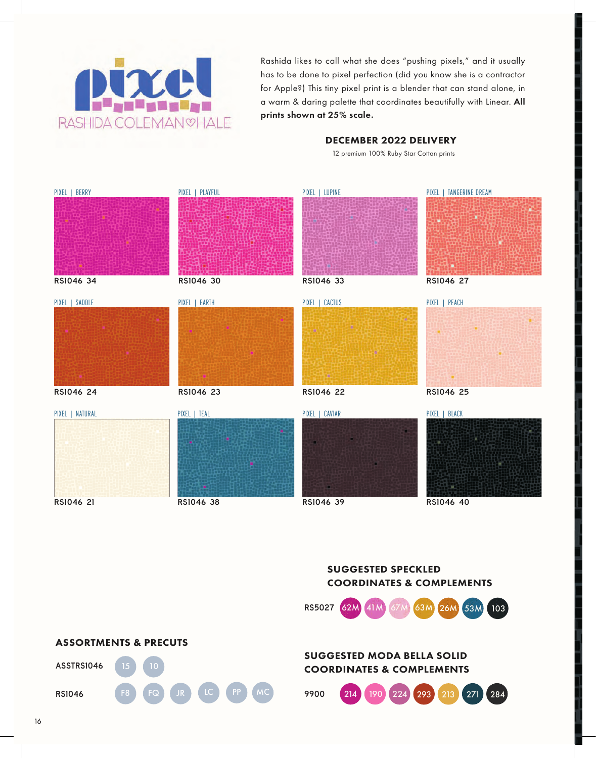

Rashida likes to call what she does "pushing pixels," and it usually has to be done to pixel perfection (did you know she is a contractor for Apple?) This tiny pixel print is a blender that can stand alone, in a warm & daring palette that coordinates beautifully with Linear. All prints shown at 25% scale.

## DECEMBER 2022 DELIVERY

12 premium 100% Ruby Star Cotton prints